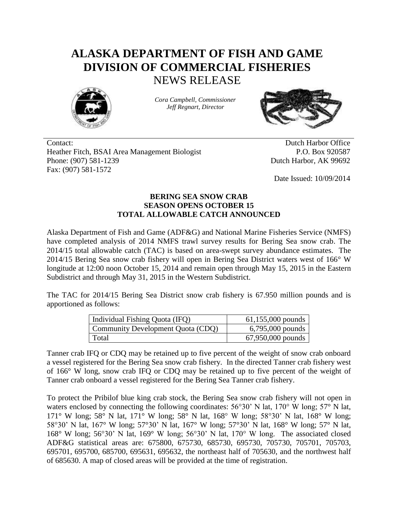## **ALASKA DEPARTMENT OF FISH AND GAME DIVISION OF COMMERCIAL FISHERIES** NEWS RELEASE



*Cora Campbell, Commissioner Jeff Regnart, Director*



Contact: Dutch Harbor Office Heather Fitch, BSAI Area Management Biologist P.O. Box 920587 Phone: (907) 581-1239 Dutch Harbor, AK 99692 Fax: (907) 581-1572

Date Issued: 10/09/2014

## **BERING SEA SNOW CRAB SEASON OPENS OCTOBER 15 TOTAL ALLOWABLE CATCH ANNOUNCED**

Alaska Department of Fish and Game (ADF&G) and National Marine Fisheries Service (NMFS) have completed analysis of 2014 NMFS trawl survey results for Bering Sea snow crab. The 2014/15 total allowable catch (TAC) is based on area-swept survey abundance estimates. The 2014/15 Bering Sea snow crab fishery will open in Bering Sea District waters west of 166° W longitude at 12:00 noon October 15, 2014 and remain open through May 15, 2015 in the Eastern Subdistrict and through May 31, 2015 in the Western Subdistrict.

The TAC for 2014/15 Bering Sea District snow crab fishery is 67.950 million pounds and is apportioned as follows:

| Individual Fishing Quota (IFQ)    | $61,155,000$ pounds |
|-----------------------------------|---------------------|
| Community Development Quota (CDQ) | $6,795,000$ pounds  |
| Total                             | 67,950,000 pounds   |

Tanner crab IFQ or CDQ may be retained up to five percent of the weight of snow crab onboard a vessel registered for the Bering Sea snow crab fishery. In the directed Tanner crab fishery west of 166° W long, snow crab IFQ or CDQ may be retained up to five percent of the weight of Tanner crab onboard a vessel registered for the Bering Sea Tanner crab fishery.

To protect the Pribilof blue king crab stock, the Bering Sea snow crab fishery will not open in waters enclosed by connecting the following coordinates: 56°30' N lat, 170° W long; 57° N lat, 171° W long; 58° N lat, 171° W long; 58° N lat, 168° W long; 58°30' N lat, 168° W long; 58°30' N lat, 167° W long; 57°30' N lat, 167° W long; 57°30' N lat, 168° W long; 57° N lat, 168° W long; 56°30' N lat, 169° W long; 56°30' N lat, 170° W long. The associated closed ADF&G statistical areas are: 675800, 675730, 685730, 695730, 705730, 705701, 705703, 695701, 695700, 685700, 695631, 695632, the northeast half of 705630, and the northwest half of 685630. A map of closed areas will be provided at the time of registration.